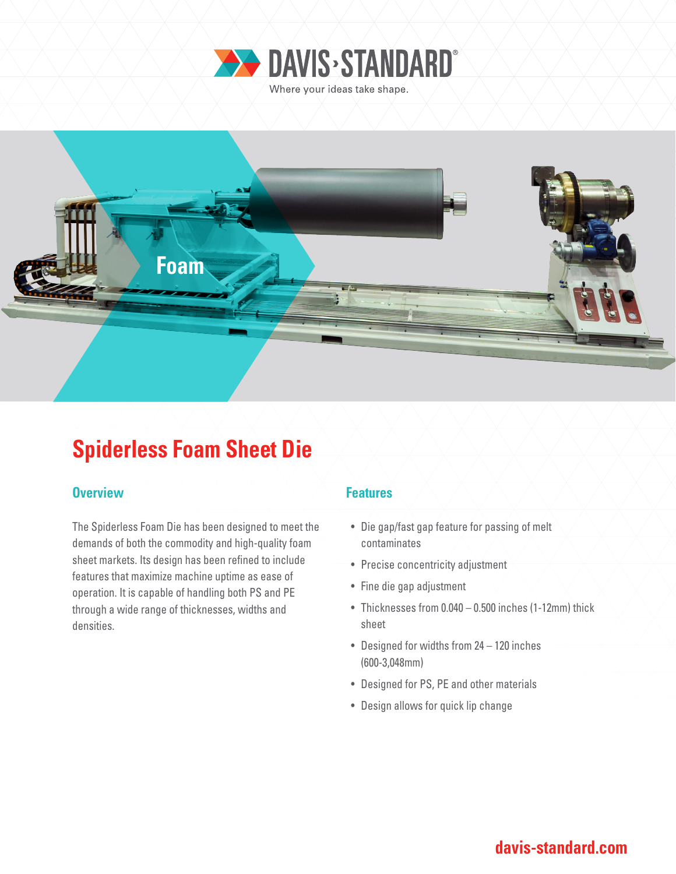



# **Spiderless Foam Sheet Die**

### **Overview Allen Accept Accept Accept Accept Features**

The Spiderless Foam Die has been designed to meet the demands of both the commodity and high-quality foam sheet markets. Its design has been refined to include features that maximize machine uptime as ease of operation. It is capable of handling both PS and PE through a wide range of thicknesses, widths and densities.

- Die gap/fast gap feature for passing of melt contaminates
- Precise concentricity adjustment
- Fine die gap adjustment
- Thicknesses from 0.040 0.500 inches (1-12mm) thick sheet
- Designed for widths from 24 120 inches (600-3,048mm)
- Designed for PS, PE and other materials
- Design allows for quick lip change

### **davis-standard.com**